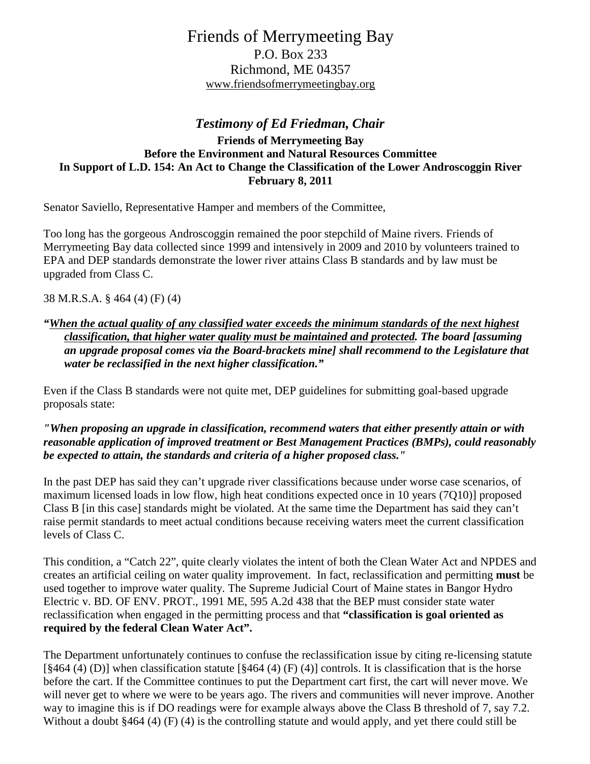# Friends of Merrymeeting Bay P.O. Box 233 Richmond, ME 04357 www.friendsofmerrymeetingbay.org

## *Testimony of Ed Friedman, Chair*

#### **Friends of Merrymeeting Bay Before the Environment and Natural Resources Committee In Support of L.D. 154: An Act to Change the Classification of the Lower Androscoggin River February 8, 2011**

Senator Saviello, Representative Hamper and members of the Committee,

Too long has the gorgeous Androscoggin remained the poor stepchild of Maine rivers. Friends of Merrymeeting Bay data collected since 1999 and intensively in 2009 and 2010 by volunteers trained to EPA and DEP standards demonstrate the lower river attains Class B standards and by law must be upgraded from Class C.

38 M.R.S.A. § 464 (4) (F) (4)

### *"When the actual quality of any classified water exceeds the minimum standards of the next highest classification, that higher water quality must be maintained and protected. The board [assuming an upgrade proposal comes via the Board-brackets mine] shall recommend to the Legislature that water be reclassified in the next higher classification."*

Even if the Class B standards were not quite met, DEP guidelines for submitting goal-based upgrade proposals state:

#### *"When proposing an upgrade in classification, recommend waters that either presently attain or with reasonable application of improved treatment or Best Management Practices (BMPs), could reasonably be expected to attain, the standards and criteria of a higher proposed class."*

In the past DEP has said they can't upgrade river classifications because under worse case scenarios, of maximum licensed loads in low flow, high heat conditions expected once in 10 years (7Q10)] proposed Class B [in this case] standards might be violated. At the same time the Department has said they can't raise permit standards to meet actual conditions because receiving waters meet the current classification levels of Class C.

This condition, a "Catch 22", quite clearly violates the intent of both the Clean Water Act and NPDES and creates an artificial ceiling on water quality improvement. In fact, reclassification and permitting **must** be used together to improve water quality. The Supreme Judicial Court of Maine states in Bangor Hydro Electric v. BD. OF ENV. PROT., 1991 ME, 595 A.2d 438 that the BEP must consider state water reclassification when engaged in the permitting process and that **"classification is goal oriented as required by the federal Clean Water Act".** 

The Department unfortunately continues to confuse the reclassification issue by citing re-licensing statute [ $§464$  (4) (D)] when classification statute [ $§464$  (4) (F) (4)] controls. It is classification that is the horse before the cart. If the Committee continues to put the Department cart first, the cart will never move. We will never get to where we were to be years ago. The rivers and communities will never improve. Another way to imagine this is if DO readings were for example always above the Class B threshold of 7, say 7.2. Without a doubt §464 (4) (F) (4) is the controlling statute and would apply, and yet there could still be